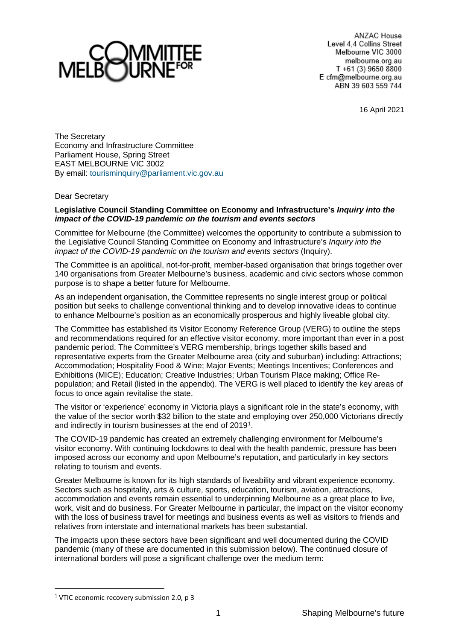

ANZAC House Level 4.4 Collins Street Melbourne VIC 3000 melbourne.org.au T +61 (3) 9650 8800 E cfm@melbourne.org.au ABN 39 603 559 744

16 April 2021

The Secretary Economy and Infrastructure Committee Parliament House, Spring Street EAST MELBOURNE VIC 3002 By email: [tourisminquiry@parliament.vic.gov.au](mailto:tourisminquiry@parliament.vic.gov.au)

## Dear Secretary

## **Legislative Council Standing Committee on Economy and Infrastructure's** *Inquiry into the impact of the COVID-19 pandemic on the tourism and events sectors*

Committee for Melbourne (the Committee) welcomes the opportunity to contribute a submission to the Legislative Council Standing Committee on Economy and Infrastructure's *Inquiry into the impact of the COVID-19 pandemic on the tourism and events sectors* (Inquiry).

The Committee is an apolitical, not-for-profit, member-based organisation that brings together over 140 organisations from Greater Melbourne's business, academic and civic sectors whose common purpose is to shape a better future for Melbourne.

As an independent organisation, the Committee represents no single interest group or political position but seeks to challenge conventional thinking and to develop innovative ideas to continue to enhance Melbourne's position as an economically prosperous and highly liveable global city.

The Committee has established its Visitor Economy Reference Group (VERG) to outline the steps and recommendations required for an effective visitor economy, more important than ever in a post pandemic period. The Committee's VERG membership, brings together skills based and representative experts from the Greater Melbourne area (city and suburban) including: Attractions; Accommodation; Hospitality Food & Wine; Major Events; Meetings Incentives; Conferences and Exhibitions (MICE); Education; Creative Industries; Urban Tourism Place making; Office Repopulation; and Retail (listed in the appendix). The VERG is well placed to identify the key areas of focus to once again revitalise the state.

The visitor or 'experience' economy in Victoria plays a significant role in the state's economy, with the value of the sector worth \$32 billion to the state and employing over 250,000 Victorians directly and indirectly in tourism businesses at the end of 2019<sup>1</sup>.

The COVID-19 pandemic has created an extremely challenging environment for Melbourne's visitor economy. With continuing lockdowns to deal with the health pandemic, pressure has been imposed across our economy and upon Melbourne's reputation, and particularly in key sectors relating to tourism and events.

Greater Melbourne is known for its high standards of liveability and vibrant experience economy. Sectors such as hospitality, arts & culture, sports, education, tourism, aviation, attractions, accommodation and events remain essential to underpinning Melbourne as a great place to live, work, visit and do business. For Greater Melbourne in particular, the impact on the visitor economy with the loss of business travel for meetings and business events as well as visitors to friends and relatives from interstate and international markets has been substantial.

The impacts upon these sectors have been significant and well documented during the COVID pandemic (many of these are documented in this submission below). The continued closure of international borders will pose a significant challenge over the medium term:

<span id="page-0-0"></span><sup>&</sup>lt;sup>1</sup> VTIC economic recovery submission 2.0, p 3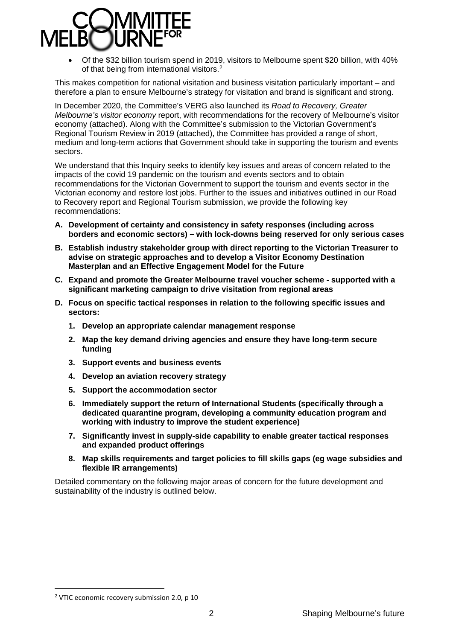

• Of the \$32 billion tourism spend in 2019, visitors to Melbourne spent \$20 billion, with 40% of that being from international visitors.<sup>[2](#page-1-0)</sup>

This makes competition for national visitation and business visitation particularly important – and therefore a plan to ensure Melbourne's strategy for visitation and brand is significant and strong.

In December 2020, the Committee's VERG also launched its *Road to Recovery, Greater Melbourne's visitor economy* report, with recommendations for the recovery of Melbourne's visitor economy (attached). Along with the Committee's submission to the Victorian Government's Regional Tourism Review in 2019 (attached), the Committee has provided a range of short, medium and long-term actions that Government should take in supporting the tourism and events sectors.

We understand that this Inquiry seeks to identify key issues and areas of concern related to the impacts of the covid 19 pandemic on the tourism and events sectors and to obtain recommendations for the Victorian Government to support the tourism and events sector in the Victorian economy and restore lost jobs. Further to the issues and initiatives outlined in our Road to Recovery report and Regional Tourism submission, we provide the following key recommendations:

- **A. Development of certainty and consistency in safety responses (including across borders and economic sectors) – with lock-downs being reserved for only serious cases**
- **B. Establish industry stakeholder group with direct reporting to the Victorian Treasurer to advise on strategic approaches and to develop a Visitor Economy Destination Masterplan and an Effective Engagement Model for the Future**
- **C. Expand and promote the Greater Melbourne travel voucher scheme - supported with a significant marketing campaign to drive visitation from regional areas**
- **D. Focus on specific tactical responses in relation to the following specific issues and sectors:**
	- **1. Develop an appropriate calendar management response**
	- **2. Map the key demand driving agencies and ensure they have long-term secure funding**
	- **3. Support events and business events**
	- **4. Develop an aviation recovery strategy**
	- **5. Support the accommodation sector**
	- **6. Immediately support the return of International Students (specifically through a dedicated quarantine program, developing a community education program and working with industry to improve the student experience)**
	- **7. Significantly invest in supply-side capability to enable greater tactical responses and expanded product offerings**
	- **8. Map skills requirements and target policies to fill skills gaps (eg wage subsidies and flexible IR arrangements)**

Detailed commentary on the following major areas of concern for the future development and sustainability of the industry is outlined below.

<span id="page-1-0"></span><sup>&</sup>lt;sup>2</sup> VTIC economic recovery submission 2.0, p 10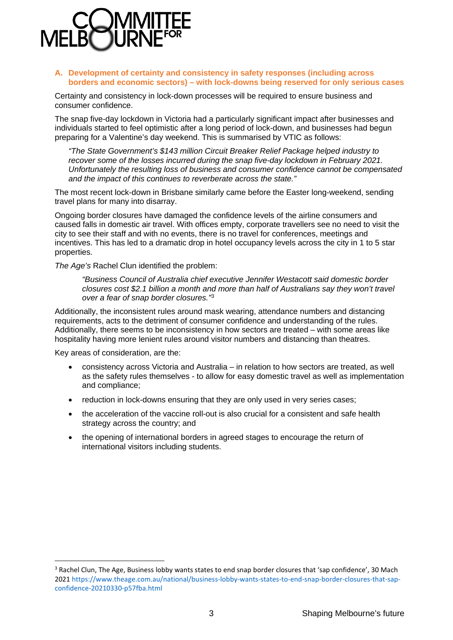

### **A. Development of certainty and consistency in safety responses (including across borders and economic sectors) – with lock-downs being reserved for only serious cases**

Certainty and consistency in lock-down processes will be required to ensure business and consumer confidence.

The snap five-day lockdown in Victoria had a particularly significant impact after businesses and individuals started to feel optimistic after a long period of lock-down, and businesses had begun preparing for a Valentine's day weekend. This is summarised by VTIC as follows:

*"The State Government's \$143 million Circuit Breaker Relief Package helped industry to recover some of the losses incurred during the snap five-day lockdown in February 2021. Unfortunately the resulting loss of business and consumer confidence cannot be compensated and the impact of this continues to reverberate across the state."* 

The most recent lock-down in Brisbane similarly came before the Easter long-weekend, sending travel plans for many into disarray.

Ongoing border closures have damaged the confidence levels of the airline consumers and caused falls in domestic air travel. With offices empty, corporate travellers see no need to visit the city to see their staff and with no events, there is no travel for conferences, meetings and incentives. This has led to a dramatic drop in hotel occupancy levels across the city in 1 to 5 star properties.

*The Age's* Rachel Clun identified the problem:

*"Business Council of Australia chief executive Jennifer Westacott said domestic border closures cost \$2.1 billion a month and more than half of Australians say they won't travel over a fear of snap border closures."*[3](#page-2-0)

Additionally, the inconsistent rules around mask wearing, attendance numbers and distancing requirements, acts to the detriment of consumer confidence and understanding of the rules. Additionally, there seems to be inconsistency in how sectors are treated – with some areas like hospitality having more lenient rules around visitor numbers and distancing than theatres.

Key areas of consideration, are the:

- consistency across Victoria and Australia in relation to how sectors are treated, as well as the safety rules themselves - to allow for easy domestic travel as well as implementation and compliance;
- reduction in lock-downs ensuring that they are only used in very series cases:
- the acceleration of the vaccine roll-out is also crucial for a consistent and safe health strategy across the country; and
- the opening of international borders in agreed stages to encourage the return of international visitors including students.

<span id="page-2-0"></span><sup>&</sup>lt;sup>3</sup> Rachel Clun, The Age, Business lobby wants states to end snap border closures that 'sap confidence', 30 Mach 202[1 https://www.theage.com.au/national/business-lobby-wants-states-to-end-snap-border-closures-that-sap](https://www.theage.com.au/national/business-lobby-wants-states-to-end-snap-border-closures-that-sap-confidence-20210330-p57fba.html)[confidence-20210330-p57fba.html](https://www.theage.com.au/national/business-lobby-wants-states-to-end-snap-border-closures-that-sap-confidence-20210330-p57fba.html)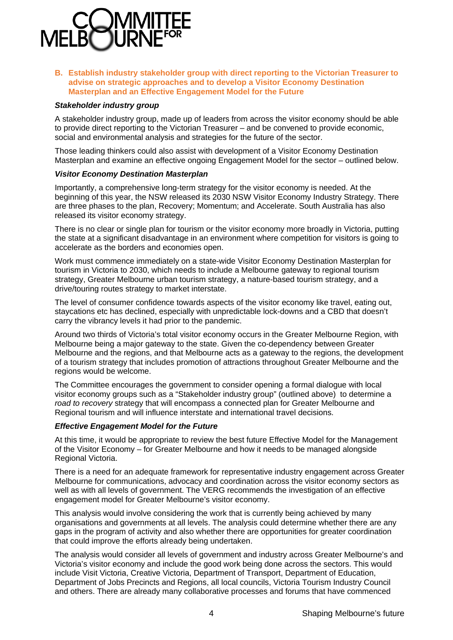

**B. Establish industry stakeholder group with direct reporting to the Victorian Treasurer to advise on strategic approaches and to develop a Visitor Economy Destination Masterplan and an Effective Engagement Model for the Future**

#### *Stakeholder industry group*

A stakeholder industry group, made up of leaders from across the visitor economy should be able to provide direct reporting to the Victorian Treasurer – and be convened to provide economic, social and environmental analysis and strategies for the future of the sector.

Those leading thinkers could also assist with development of a Visitor Economy Destination Masterplan and examine an effective ongoing Engagement Model for the sector – outlined below.

#### *Visitor Economy Destination Masterplan*

Importantly, a comprehensive long-term strategy for the visitor economy is needed. At the beginning of this year, the NSW released its 2030 NSW Visitor Economy Industry Strategy. There are three phases to the plan, Recovery; Momentum; and Accelerate. South Australia has also released its visitor economy strategy.

There is no clear or single plan for tourism or the visitor economy more broadly in Victoria, putting the state at a significant disadvantage in an environment where competition for visitors is going to accelerate as the borders and economies open.

Work must commence immediately on a state-wide Visitor Economy Destination Masterplan for tourism in Victoria to 2030, which needs to include a Melbourne gateway to regional tourism strategy, Greater Melbourne urban tourism strategy, a nature-based tourism strategy, and a drive/touring routes strategy to market interstate.

The level of consumer confidence towards aspects of the visitor economy like travel, eating out, staycations etc has declined, especially with unpredictable lock-downs and a CBD that doesn't carry the vibrancy levels it had prior to the pandemic.

Around two thirds of Victoria's total visitor economy occurs in the Greater Melbourne Region, with Melbourne being a major gateway to the state. Given the co-dependency between Greater Melbourne and the regions, and that Melbourne acts as a gateway to the regions, the development of a tourism strategy that includes promotion of attractions throughout Greater Melbourne and the regions would be welcome.

The Committee encourages the government to consider opening a formal dialogue with local visitor economy groups such as a "Stakeholder industry group" (outlined above) to determine a *road to recovery* strategy that will encompass a connected plan for Greater Melbourne and Regional tourism and will influence interstate and international travel decisions.

#### *Effective Engagement Model for the Future*

At this time, it would be appropriate to review the best future Effective Model for the Management of the Visitor Economy – for Greater Melbourne and how it needs to be managed alongside Regional Victoria.

There is a need for an adequate framework for representative industry engagement across Greater Melbourne for communications, advocacy and coordination across the visitor economy sectors as well as with all levels of government. The VERG recommends the investigation of an effective engagement model for Greater Melbourne's visitor economy.

This analysis would involve considering the work that is currently being achieved by many organisations and governments at all levels. The analysis could determine whether there are any gaps in the program of activity and also whether there are opportunities for greater coordination that could improve the efforts already being undertaken.

The analysis would consider all levels of government and industry across Greater Melbourne's and Victoria's visitor economy and include the good work being done across the sectors. This would include Visit Victoria, Creative Victoria, Department of Transport, Department of Education, Department of Jobs Precincts and Regions, all local councils, Victoria Tourism Industry Council and others. There are already many collaborative processes and forums that have commenced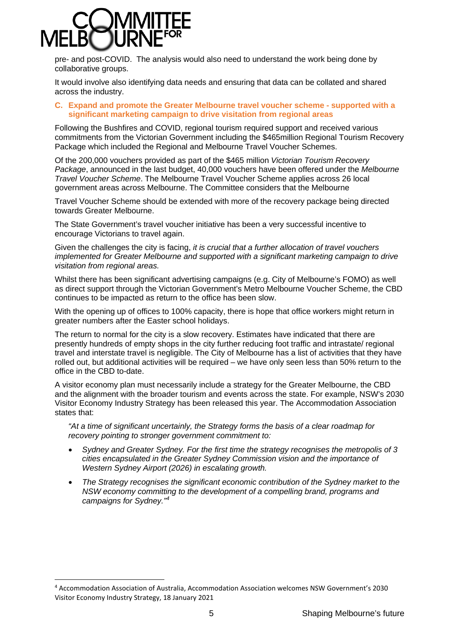pre- and post-COVID. The analysis would also need to understand the work being done by collaborative groups.

It would involve also identifying data needs and ensuring that data can be collated and shared across the industry.

## **C. Expand and promote the Greater Melbourne travel voucher scheme - supported with a significant marketing campaign to drive visitation from regional areas**

Following the Bushfires and COVID, regional tourism required support and received various commitments from the Victorian Government including the \$465million Regional Tourism Recovery Package which included the Regional and Melbourne Travel Voucher Schemes.

Of the 200,000 vouchers provided as part of the \$465 million *Victorian Tourism Recovery Package*, announced in the last budget, 40,000 vouchers have been offered under the *Melbourne Travel Voucher Scheme*. The Melbourne Travel Voucher Scheme applies across 26 local government areas across Melbourne. The Committee considers that the Melbourne

Travel Voucher Scheme should be extended with more of the recovery package being directed towards Greater Melbourne.

The State Government's travel voucher initiative has been a very successful incentive to encourage Victorians to travel again.

Given the challenges the city is facing, *it is crucial that a further allocation of travel vouchers implemented for Greater Melbourne and supported with a significant marketing campaign to drive visitation from regional areas.*

Whilst there has been significant advertising campaigns (e.g. City of Melbourne's FOMO) as well as direct support through the Victorian Government's Metro Melbourne Voucher Scheme, the CBD continues to be impacted as return to the office has been slow.

With the opening up of offices to 100% capacity, there is hope that office workers might return in greater numbers after the Easter school holidays.

The return to normal for the city is a slow recovery. Estimates have indicated that there are presently hundreds of empty shops in the city further reducing foot traffic and intrastate/ regional travel and interstate travel is negligible. The City of Melbourne has a list of activities that they have rolled out, but additional activities will be required – we have only seen less than 50% return to the office in the CBD to-date.

A visitor economy plan must necessarily include a strategy for the Greater Melbourne, the CBD and the alignment with the broader tourism and events across the state. For example, NSW's 2030 Visitor Economy Industry Strategy has been released this year. The Accommodation Association states that:

*"At a time of significant uncertainly, the Strategy forms the basis of a clear roadmap for recovery pointing to stronger government commitment to:* 

- *Sydney and Greater Sydney. For the first time the strategy recognises the metropolis of 3 cities encapsulated in the Greater Sydney Commission vision and the importance of Western Sydney Airport (2026) in escalating growth.*
- *The Strategy recognises the significant economic contribution of the Sydney market to the NSW economy committing to the development of a compelling brand, programs and campaigns for Sydney."[4](#page-4-0)*

<span id="page-4-0"></span><sup>4</sup> Accommodation Association of Australia, Accommodation Association welcomes NSW Government's 2030 Visitor Economy Industry Strategy, 18 January 2021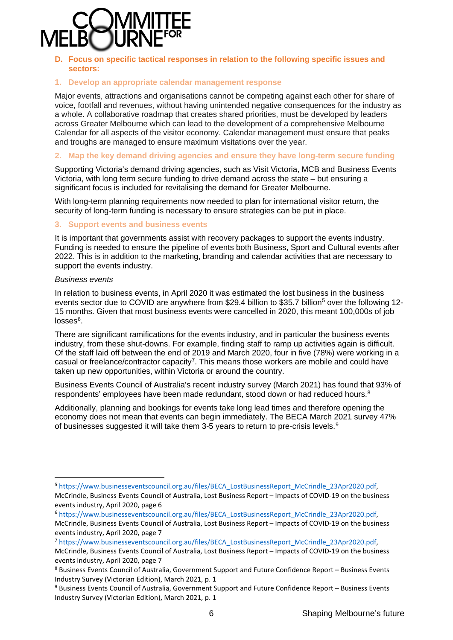

## **D. Focus on specific tactical responses in relation to the following specific issues and sectors:**

## **1. Develop an appropriate calendar management response**

Major events, attractions and organisations cannot be competing against each other for share of voice, footfall and revenues, without having unintended negative consequences for the industry as a whole. A collaborative roadmap that creates shared priorities, must be developed by leaders across Greater Melbourne which can lead to the development of a comprehensive Melbourne Calendar for all aspects of the visitor economy. Calendar management must ensure that peaks and troughs are managed to ensure maximum visitations over the year.

### **2. Map the key demand driving agencies and ensure they have long-term secure funding**

Supporting Victoria's demand driving agencies, such as Visit Victoria, MCB and Business Events Victoria, with long term secure funding to drive demand across the state – but ensuring a significant focus is included for revitalising the demand for Greater Melbourne.

With long-term planning requirements now needed to plan for international visitor return, the security of long-term funding is necessary to ensure strategies can be put in place.

## **3. Support events and business events**

It is important that governments assist with recovery packages to support the events industry. Funding is needed to ensure the pipeline of events both Business, Sport and Cultural events after 2022. This is in addition to the marketing, branding and calendar activities that are necessary to support the events industry.

#### *Business events*

In relation to business events, in April 2020 it was estimated the lost business in the business events sector due to COVID are anywhere from \$29.4 billion to \$35.7 billion<sup>5</sup> over the following 12-15 months. Given that most business events were cancelled in 2020, this meant 100,000s of job  $losses<sup>6</sup>$  $losses<sup>6</sup>$  $losses<sup>6</sup>$ .

There are significant ramifications for the events industry, and in particular the business events industry, from these shut-downs. For example, finding staff to ramp up activities again is difficult. Of the staff laid off between the end of 2019 and March 2020, four in five (78%) were working in a casual or freelance/contractor capacity<sup>[7](#page-5-2)</sup>. This means those workers are mobile and could have taken up new opportunities, within Victoria or around the country.

Business Events Council of Australia's recent industry survey (March 2021) has found that 93% of respondents' employees have been made redundant, stood down or had reduced hours.[8](#page-5-3)

Additionally, planning and bookings for events take long lead times and therefore opening the economy does not mean that events can begin immediately. The BECA March 2021 survey 47% of businesses suggested it will take them 3-5 years to return to pre-crisis levels.<sup>[9](#page-5-4)</sup>

<span id="page-5-2"></span><sup>7</sup> [https://www.businesseventscouncil.org.au/files/BECA\\_LostBusinessReport\\_McCrindle\\_23Apr2020.pdf,](https://www.businesseventscouncil.org.au/files/BECA_LostBusinessReport_McCrindle_23Apr2020.pdf)

<span id="page-5-0"></span><sup>5</sup> [https://www.businesseventscouncil.org.au/files/BECA\\_LostBusinessReport\\_McCrindle\\_23Apr2020.pdf,](https://www.businesseventscouncil.org.au/files/BECA_LostBusinessReport_McCrindle_23Apr2020.pdf) McCrindle, Business Events Council of Australia, Lost Business Report – Impacts of COVID-19 on the business events industry, April 2020, page 6

<span id="page-5-1"></span><sup>6</sup> [https://www.businesseventscouncil.org.au/files/BECA\\_LostBusinessReport\\_McCrindle\\_23Apr2020.pdf,](https://www.businesseventscouncil.org.au/files/BECA_LostBusinessReport_McCrindle_23Apr2020.pdf) McCrindle, Business Events Council of Australia, Lost Business Report – Impacts of COVID-19 on the business events industry, April 2020, page 7

McCrindle, Business Events Council of Australia, Lost Business Report – Impacts of COVID-19 on the business events industry, April 2020, page 7

<span id="page-5-3"></span><sup>8</sup> Business Events Council of Australia, Government Support and Future Confidence Report – Business Events Industry Survey (Victorian Edition), March 2021, p. 1

<span id="page-5-4"></span><sup>9</sup> Business Events Council of Australia, Government Support and Future Confidence Report – Business Events Industry Survey (Victorian Edition), March 2021, p. 1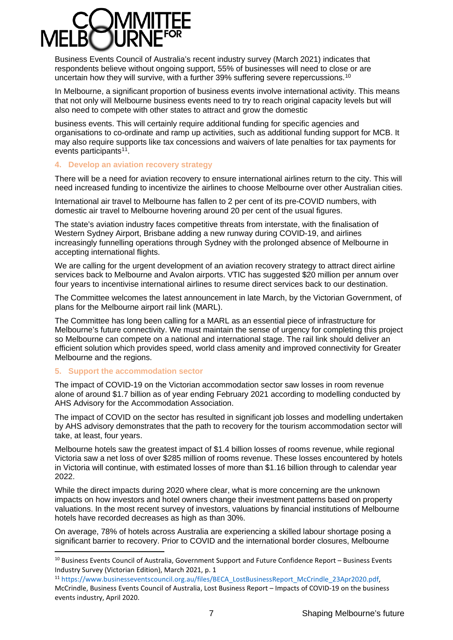Business Events Council of Australia's recent industry survey (March 2021) indicates that respondents believe without ongoing support, 55% of businesses will need to close or are uncertain how they will survive, with a further 39% suffering severe repercussions.<sup>[10](#page-6-0)</sup>

In Melbourne, a significant proportion of business events involve international activity. This means that not only will Melbourne business events need to try to reach original capacity levels but will also need to compete with other states to attract and grow the domestic

business events. This will certainly require additional funding for specific agencies and organisations to co-ordinate and ramp up activities, such as additional funding support for MCB. It may also require supports like tax concessions and waivers of late penalties for tax payments for events participants<sup>11</sup>.

## **4. Develop an aviation recovery strategy**

There will be a need for aviation recovery to ensure international airlines return to the city. This will need increased funding to incentivize the airlines to choose Melbourne over other Australian cities.

International air travel to Melbourne has fallen to 2 per cent of its pre-COVID numbers, with domestic air travel to Melbourne hovering around 20 per cent of the usual figures.

The state's aviation industry faces competitive threats from interstate, with the finalisation of Western Sydney Airport, Brisbane adding a new runway during COVID-19, and airlines increasingly funnelling operations through Sydney with the prolonged absence of Melbourne in accepting international flights.

We are calling for the urgent development of an aviation recovery strategy to attract direct airline services back to Melbourne and Avalon airports. VTIC has suggested \$20 million per annum over four years to incentivise international airlines to resume direct services back to our destination.

The Committee welcomes the latest announcement in late March, by the Victorian Government, of plans for the Melbourne airport rail link (MARL).

The Committee has long been calling for a MARL as an essential piece of infrastructure for Melbourne's future connectivity. We must maintain the sense of urgency for completing this project so Melbourne can compete on a national and international stage. The rail link should deliver an efficient solution which provides speed, world class amenity and improved connectivity for Greater Melbourne and the regions.

## **5. Support the accommodation sector**

The impact of COVID-19 on the Victorian accommodation sector saw losses in room revenue alone of around \$1.7 billion as of year ending February 2021 according to modelling conducted by AHS Advisory for the Accommodation Association.

The impact of COVID on the sector has resulted in significant job losses and modelling undertaken by AHS advisory demonstrates that the path to recovery for the tourism accommodation sector will take, at least, four years.

Melbourne hotels saw the greatest impact of \$1.4 billion losses of rooms revenue, while regional Victoria saw a net loss of over \$285 million of rooms revenue. These losses encountered by hotels in Victoria will continue, with estimated losses of more than \$1.16 billion through to calendar year 2022.

While the direct impacts during 2020 where clear, what is more concerning are the unknown impacts on how investors and hotel owners change their investment patterns based on property valuations. In the most recent survey of investors, valuations by financial institutions of Melbourne hotels have recorded decreases as high as than 30%.

On average, 78% of hotels across Australia are experiencing a skilled labour shortage posing a significant barrier to recovery. Prior to COVID and the international border closures, Melbourne

<span id="page-6-0"></span><sup>&</sup>lt;sup>10</sup> Business Events Council of Australia, Government Support and Future Confidence Report – Business Events Industry Survey (Victorian Edition), March 2021, p. 1

<span id="page-6-1"></span><sup>11</sup> [https://www.businesseventscouncil.org.au/files/BECA\\_LostBusinessReport\\_McCrindle\\_23Apr2020.pdf,](https://www.businesseventscouncil.org.au/files/BECA_LostBusinessReport_McCrindle_23Apr2020.pdf)  McCrindle, Business Events Council of Australia, Lost Business Report – Impacts of COVID-19 on the business events industry, April 2020.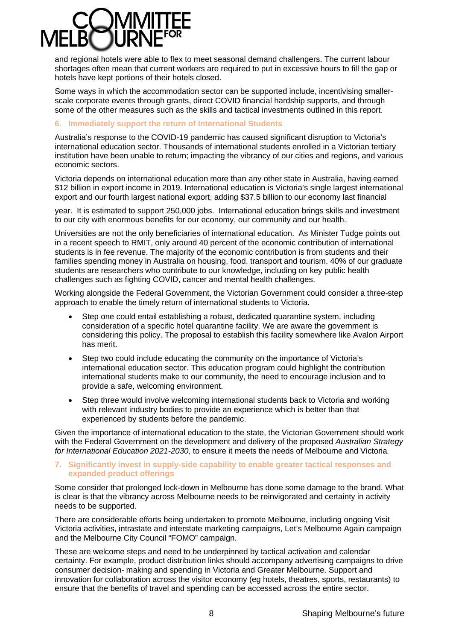and regional hotels were able to flex to meet seasonal demand challengers. The current labour shortages often mean that current workers are required to put in excessive hours to fill the gap or hotels have kept portions of their hotels closed.

Some ways in which the accommodation sector can be supported include, incentivising smallerscale corporate events through grants, direct COVID financial hardship supports, and through some of the other measures such as the skills and tactical investments outlined in this report.

## **6. Immediately support the return of International Students**

Australia's response to the COVID-19 pandemic has caused significant disruption to Victoria's international education sector. Thousands of international students enrolled in a Victorian tertiary institution have been unable to return; impacting the vibrancy of our cities and regions, and various economic sectors.

Victoria depends on international education more than any other state in Australia, having earned \$12 billion in export income in 2019. International education is Victoria's single largest international export and our fourth largest national export, adding \$37.5 billion to our economy last financial

year. It is estimated to support 250,000 jobs. International education brings skills and investment to our city with enormous benefits for our economy, our community and our health.

Universities are not the only beneficiaries of international education. As Minister Tudge points out in a recent speech to RMIT, only around 40 percent of the economic contribution of international students is in fee revenue. The majority of the economic contribution is from students and their families spending money in Australia on housing, food, transport and tourism. 40% of our graduate students are researchers who contribute to our knowledge, including on key public health challenges such as fighting COVID, cancer and mental health challenges.

Working alongside the Federal Government, the Victorian Government could consider a three-step approach to enable the timely return of international students to Victoria.

- Step one could entail establishing a robust, dedicated quarantine system, including consideration of a specific hotel quarantine facility. We are aware the government is considering this policy. The proposal to establish this facility somewhere like Avalon Airport has merit.
- Step two could include educating the community on the importance of Victoria's international education sector. This education program could highlight the contribution international students make to our community, the need to encourage inclusion and to provide a safe, welcoming environment.
- Step three would involve welcoming international students back to Victoria and working with relevant industry bodies to provide an experience which is better than that experienced by students before the pandemic.

Given the importance of international education to the state, the Victorian Government should work with the Federal Government on the development and delivery of the proposed *Australian Strategy for International Education 2021-2030,* to ensure it meets the needs of Melbourne and Victoria*.*

#### **7. Significantly invest in supply-side capability to enable greater tactical responses and expanded product offerings**

Some consider that prolonged lock-down in Melbourne has done some damage to the brand. What is clear is that the vibrancy across Melbourne needs to be reinvigorated and certainty in activity needs to be supported.

There are considerable efforts being undertaken to promote Melbourne, including ongoing Visit Victoria activities, intrastate and interstate marketing campaigns, Let's Melbourne Again campaign and the Melbourne City Council "FOMO" campaign.

These are welcome steps and need to be underpinned by tactical activation and calendar certainty. For example, product distribution links should accompany advertising campaigns to drive consumer decision- making and spending in Victoria and Greater Melbourne. Support and innovation for collaboration across the visitor economy (eg hotels, theatres, sports, restaurants) to ensure that the benefits of travel and spending can be accessed across the entire sector.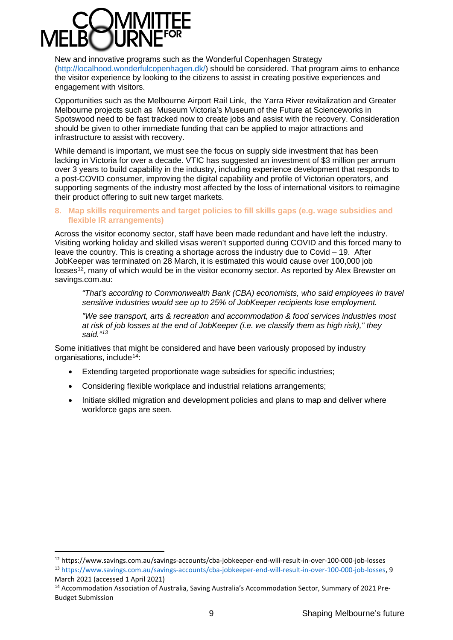New and innovative programs such as the Wonderful Copenhagen Strategy [\(http://localhood.wonderfulcopenhagen.dk/\)](http://localhood.wonderfulcopenhagen.dk/) should be considered. That program aims to enhance the visitor experience by looking to the citizens to assist in creating positive experiences and engagement with visitors.

Opportunities such as the Melbourne Airport Rail Link, the Yarra River revitalization and Greater Melbourne projects such as Museum Victoria's Museum of the Future at Scienceworks in Spotswood need to be fast tracked now to create jobs and assist with the recovery. Consideration should be given to other immediate funding that can be applied to major attractions and infrastructure to assist with recovery.

While demand is important, we must see the focus on supply side investment that has been lacking in Victoria for over a decade. VTIC has suggested an investment of \$3 million per annum over 3 years to build capability in the industry, including experience development that responds to a post-COVID consumer, improving the digital capability and profile of Victorian operators, and supporting segments of the industry most affected by the loss of international visitors to reimagine their product offering to suit new target markets.

## **8. Map skills requirements and target policies to fill skills gaps (e.g. wage subsidies and flexible IR arrangements)**

Across the visitor economy sector, staff have been made redundant and have left the industry. Visiting working holiday and skilled visas weren't supported during COVID and this forced many to leave the country. This is creating a shortage across the industry due to Covid – 19. After JobKeeper was terminated on 28 March, it is estimated this would cause over 100,000 job losses<sup>12</sup>, many of which would be in the visitor economy sector. As reported by Alex Brewster on savings.com.au:

*"That's according to Commonwealth Bank (CBA) economists, who said employees in travel sensitive industries would see up to 25% of JobKeeper recipients lose employment.* 

*"We see transport, arts & recreation and accommodation & food services industries most at risk of job losses at the end of JobKeeper (i.e. we classify them as high risk)," they said."[13](#page-8-1)*

Some initiatives that might be considered and have been variously proposed by industry organisations, include<sup>[14:](#page-8-2)</sup>

- Extending targeted proportionate wage subsidies for specific industries;
- Considering flexible workplace and industrial relations arrangements;
- Initiate skilled migration and development policies and plans to map and deliver where workforce gaps are seen.

<span id="page-8-1"></span><span id="page-8-0"></span><sup>12</sup> https://www.savings.com.au/savings-accounts/cba-jobkeeper-end-will-result-in-over-100-000-job-losses <sup>13</sup> [https://www.savings.com.au/savings-accounts/cba-jobkeeper-end-will-result-in-over-100-000-job-losses,](https://www.savings.com.au/savings-accounts/cba-jobkeeper-end-will-result-in-over-100-000-job-losses) 9 March 2021 (accessed 1 April 2021)

<span id="page-8-2"></span><sup>14</sup> Accommodation Association of Australia, Saving Australia's Accommodation Sector, Summary of 2021 Pre-Budget Submission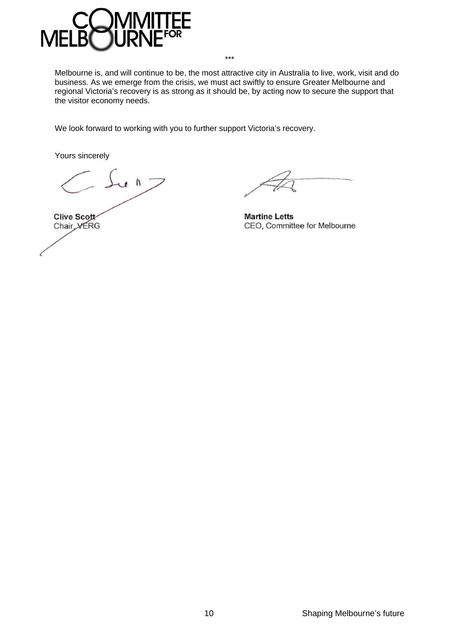

Melbourne is, and will continue to be, the most attractive city in Australia to live, work, visit and do business. As we emerge from the crisis, we must act swiftly to ensure Greater Melbourne and regional Victoria's recovery is as strong as it should be, by acting now to secure the support that the visitor economy needs.

\*\*\*

We look forward to working with you to further support Victoria's recovery.

Yours sincerely

 $\int u \wedge z$ Clive Scott Chair VERG

**Martine Letts** CEO, Committee for Melbourne